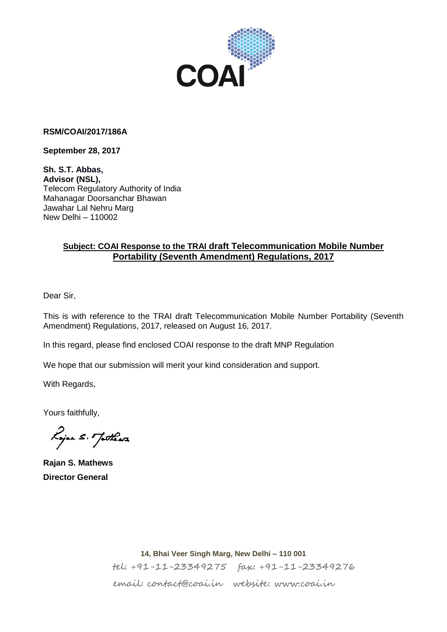

#### **RSM/COAI/2017/186A**

**September 28, 2017**

**Sh. S.T. Abbas, Advisor (NSL),** Telecom Regulatory Authority of India Mahanagar Doorsanchar Bhawan Jawahar Lal Nehru Marg New Delhi – 110002

### **Subject: COAI Response to the TRAI draft Telecommunication Mobile Number Portability (Seventh Amendment) Regulations, 2017**

Dear Sir,

This is with reference to the TRAI draft Telecommunication Mobile Number Portability (Seventh Amendment) Regulations, 2017, released on August 16, 2017.

In this regard, please find enclosed COAI response to the draft MNP Regulation

We hope that our submission will merit your kind consideration and support.

With Regards,

Yours faithfully,

Lojan S. Jothers

**Rajan S. Mathews Director General** 

**14, Bhai Veer Singh Marg, New Delhi – 110 001** tel: +91-11-23349275 fax: +91-11-23349276 email: contact@coai.in website: www.coai.in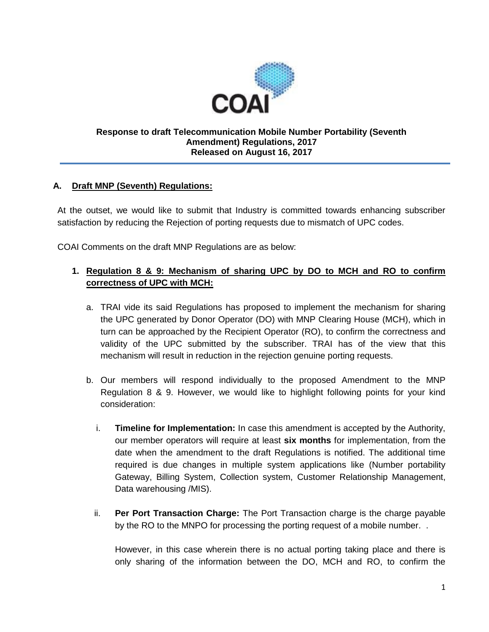

#### **Response to draft Telecommunication Mobile Number Portability (Seventh Amendment) Regulations, 2017 Released on August 16, 2017**

#### **A. Draft MNP (Seventh) Regulations:**

At the outset, we would like to submit that Industry is committed towards enhancing subscriber satisfaction by reducing the Rejection of porting requests due to mismatch of UPC codes.

COAI Comments on the draft MNP Regulations are as below:

### **1. Regulation 8 & 9: Mechanism of sharing UPC by DO to MCH and RO to confirm correctness of UPC with MCH:**

- a. TRAI vide its said Regulations has proposed to implement the mechanism for sharing the UPC generated by Donor Operator (DO) with MNP Clearing House (MCH), which in turn can be approached by the Recipient Operator (RO), to confirm the correctness and validity of the UPC submitted by the subscriber. TRAI has of the view that this mechanism will result in reduction in the rejection genuine porting requests.
- b. Our members will respond individually to the proposed Amendment to the MNP Regulation 8 & 9. However, we would like to highlight following points for your kind consideration:
	- i. **Timeline for Implementation:** In case this amendment is accepted by the Authority, our member operators will require at least **six months** for implementation, from the date when the amendment to the draft Regulations is notified. The additional time required is due changes in multiple system applications like (Number portability Gateway, Billing System, Collection system, Customer Relationship Management, Data warehousing /MIS).
	- ii. **Per Port Transaction Charge:** The Port Transaction charge is the charge payable by the RO to the MNPO for processing the porting request of a mobile number. .

However, in this case wherein there is no actual porting taking place and there is only sharing of the information between the DO, MCH and RO, to confirm the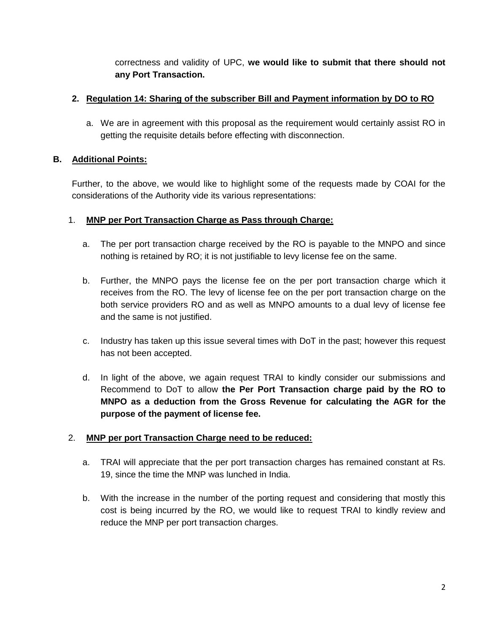correctness and validity of UPC, **we would like to submit that there should not any Port Transaction.**

# **2. Regulation 14: Sharing of the subscriber Bill and Payment information by DO to RO**

a. We are in agreement with this proposal as the requirement would certainly assist RO in getting the requisite details before effecting with disconnection.

# **B. Additional Points:**

Further, to the above, we would like to highlight some of the requests made by COAI for the considerations of the Authority vide its various representations:

# 1. **MNP per Port Transaction Charge as Pass through Charge:**

- a. The per port transaction charge received by the RO is payable to the MNPO and since nothing is retained by RO; it is not justifiable to levy license fee on the same.
- b. Further, the MNPO pays the license fee on the per port transaction charge which it receives from the RO. The levy of license fee on the per port transaction charge on the both service providers RO and as well as MNPO amounts to a dual levy of license fee and the same is not justified.
- c. Industry has taken up this issue several times with DoT in the past; however this request has not been accepted.
- d. In light of the above, we again request TRAI to kindly consider our submissions and Recommend to DoT to allow **the Per Port Transaction charge paid by the RO to MNPO as a deduction from the Gross Revenue for calculating the AGR for the purpose of the payment of license fee.**

# 2. **MNP per port Transaction Charge need to be reduced:**

- a. TRAI will appreciate that the per port transaction charges has remained constant at Rs. 19, since the time the MNP was lunched in India.
- b. With the increase in the number of the porting request and considering that mostly this cost is being incurred by the RO, we would like to request TRAI to kindly review and reduce the MNP per port transaction charges.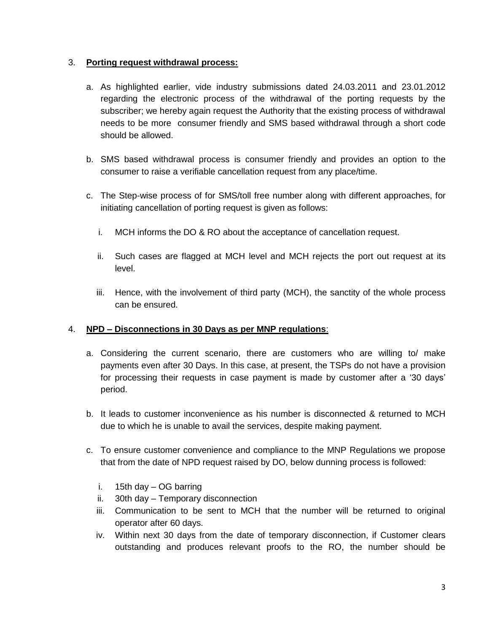#### 3. **Porting request withdrawal process:**

- a. As highlighted earlier, vide industry submissions dated 24.03.2011 and 23.01.2012 regarding the electronic process of the withdrawal of the porting requests by the subscriber; we hereby again request the Authority that the existing process of withdrawal needs to be more consumer friendly and SMS based withdrawal through a short code should be allowed.
- b. SMS based withdrawal process is consumer friendly and provides an option to the consumer to raise a verifiable cancellation request from any place/time.
- c. The Step-wise process of for SMS/toll free number along with different approaches, for initiating cancellation of porting request is given as follows:
	- i. MCH informs the DO & RO about the acceptance of cancellation request.
	- ii. Such cases are flagged at MCH level and MCH rejects the port out request at its level.
	- iii. Hence, with the involvement of third party (MCH), the sanctity of the whole process can be ensured.

### 4. **NPD – Disconnections in 30 Days as per MNP regulations**:

- a. Considering the current scenario, there are customers who are willing to/ make payments even after 30 Days. In this case, at present, the TSPs do not have a provision for processing their requests in case payment is made by customer after a '30 days' period.
- b. It leads to customer inconvenience as his number is disconnected & returned to MCH due to which he is unable to avail the services, despite making payment.
- c. To ensure customer convenience and compliance to the MNP Regulations we propose that from the date of NPD request raised by DO, below dunning process is followed:
	- i. 15th day OG barring
	- ii. 30th day Temporary disconnection
	- iii. Communication to be sent to MCH that the number will be returned to original operator after 60 days.
	- iv. Within next 30 days from the date of temporary disconnection, if Customer clears outstanding and produces relevant proofs to the RO, the number should be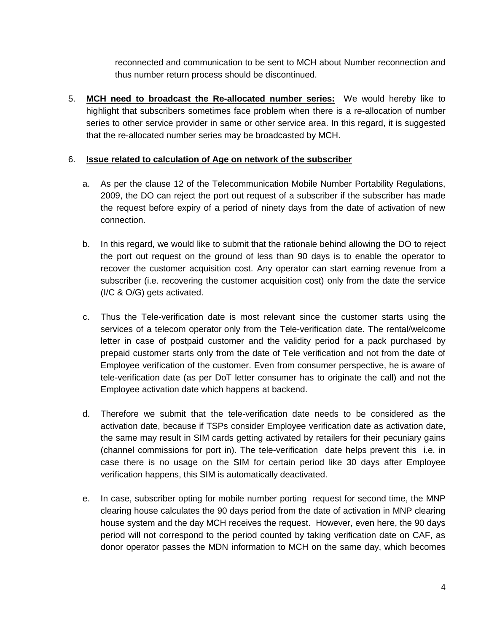reconnected and communication to be sent to MCH about Number reconnection and thus number return process should be discontinued.

5. **MCH need to broadcast the Re-allocated number series:** We would hereby like to highlight that subscribers sometimes face problem when there is a re-allocation of number series to other service provider in same or other service area. In this regard, it is suggested that the re-allocated number series may be broadcasted by MCH.

#### 6. **Issue related to calculation of Age on network of the subscriber**

- a. As per the clause 12 of the Telecommunication Mobile Number Portability Regulations, 2009, the DO can reject the port out request of a subscriber if the subscriber has made the request before expiry of a period of ninety days from the date of activation of new connection.
- b. In this regard, we would like to submit that the rationale behind allowing the DO to reject the port out request on the ground of less than 90 days is to enable the operator to recover the customer acquisition cost. Any operator can start earning revenue from a subscriber (i.e. recovering the customer acquisition cost) only from the date the service (I/C & O/G) gets activated.
- c. Thus the Tele-verification date is most relevant since the customer starts using the services of a telecom operator only from the Tele-verification date. The rental/welcome letter in case of postpaid customer and the validity period for a pack purchased by prepaid customer starts only from the date of Tele verification and not from the date of Employee verification of the customer. Even from consumer perspective, he is aware of tele-verification date (as per DoT letter consumer has to originate the call) and not the Employee activation date which happens at backend.
- d. Therefore we submit that the tele-verification date needs to be considered as the activation date, because if TSPs consider Employee verification date as activation date, the same may result in SIM cards getting activated by retailers for their pecuniary gains (channel commissions for port in). The tele-verification date helps prevent this i.e. in case there is no usage on the SIM for certain period like 30 days after Employee verification happens, this SIM is automatically deactivated.
- e. In case, subscriber opting for mobile number porting request for second time, the MNP clearing house calculates the 90 days period from the date of activation in MNP clearing house system and the day MCH receives the request. However, even here, the 90 days period will not correspond to the period counted by taking verification date on CAF, as donor operator passes the MDN information to MCH on the same day, which becomes